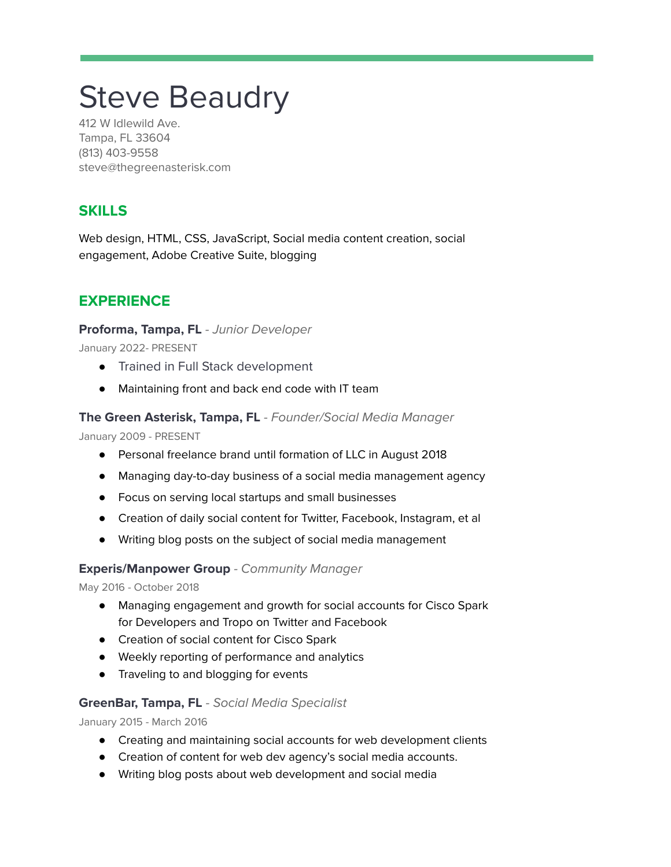# Steve Beaudry

412 W Idlewild Ave. Tampa, FL 33604 (813) 403-9558 steve@thegreenasterisk.com

# **SKILLS**

Web design, HTML, CSS, JavaScript, Social media content creation, social engagement, Adobe Creative Suite, blogging

# **EXPERIENCE**

## **Proforma, Tampa, FL** - Junior Developer

January 2022- PRESENT

- Trained in Full Stack development
- Maintaining front and back end code with IT team

## **The Green Asterisk, Tampa, FL** - Founder/Social Media Manager

January 2009 - PRESENT

- Personal freelance brand until formation of LLC in August 2018
- Managing day-to-day business of a social media management agency
- Focus on serving local startups and small businesses
- Creation of daily social content for Twitter, Facebook, Instagram, et al
- Writing blog posts on the subject of social media management

## **Experis/Manpower Group** - Community Manager

May 2016 - October 2018

- Managing engagement and growth for social accounts for Cisco Spark for Developers and Tropo on Twitter and Facebook
- Creation of social content for Cisco Spark
- Weekly reporting of performance and analytics
- Traveling to and blogging for events

#### **GreenBar, Tampa, FL** - Social Media Specialist

January 2015 - March 2016

- Creating and maintaining social accounts for web development clients
- Creation of content for web dev agency's social media accounts.
- Writing blog posts about web development and social media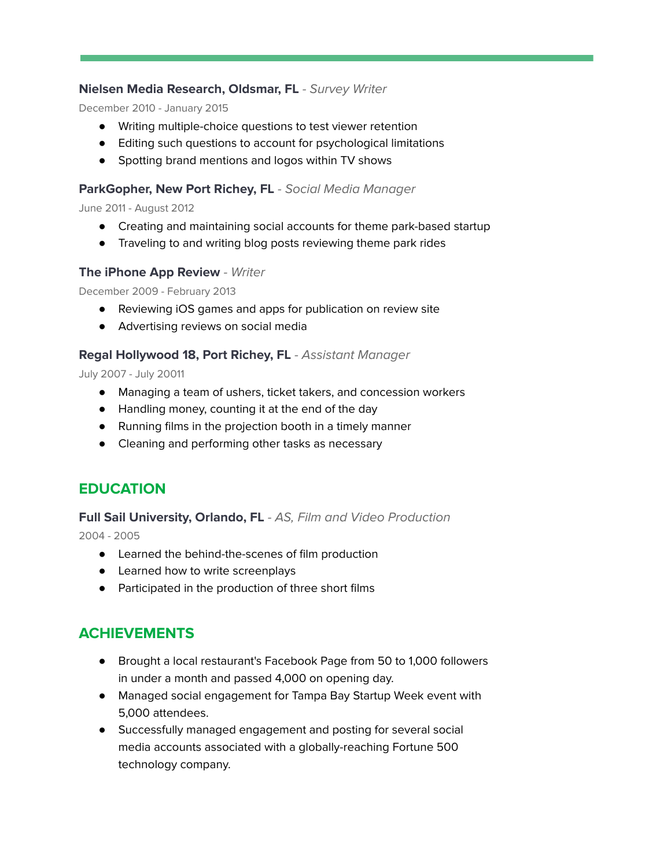## **Nielsen Media Research, Oldsmar, FL** - Survey Writer

December 2010 - January 2015

- Writing multiple-choice questions to test viewer retention
- Editing such questions to account for psychological limitations
- Spotting brand mentions and logos within TV shows

#### **ParkGopher, New Port Richey, FL** - Social Media Manager

June 2011 - August 2012

- Creating and maintaining social accounts for theme park-based startup
- Traveling to and writing blog posts reviewing theme park rides

#### **The iPhone App Review** - Writer

December 2009 - February 2013

- Reviewing iOS games and apps for publication on review site
- Advertising reviews on social media

#### **Regal Hollywood 18, Port Richey, FL** - Assistant Manager

July 2007 - July 20011

- Managing a team of ushers, ticket takers, and concession workers
- Handling money, counting it at the end of the day
- Running films in the projection booth in a timely manner
- Cleaning and performing other tasks as necessary

# **EDUCATION**

#### **Full Sail University, Orlando, FL** - AS, Film and Video Production

2004 - 2005

- Learned the behind-the-scenes of film production
- Learned how to write screenplays
- Participated in the production of three short films

# **ACHIEVEMENTS**

- Brought a local restaurant's Facebook Page from 50 to 1,000 followers in under a month and passed 4,000 on opening day.
- Managed social engagement for Tampa Bay Startup Week event with 5,000 attendees.
- Successfully managed engagement and posting for several social media accounts associated with a globally-reaching Fortune 500 technology company.